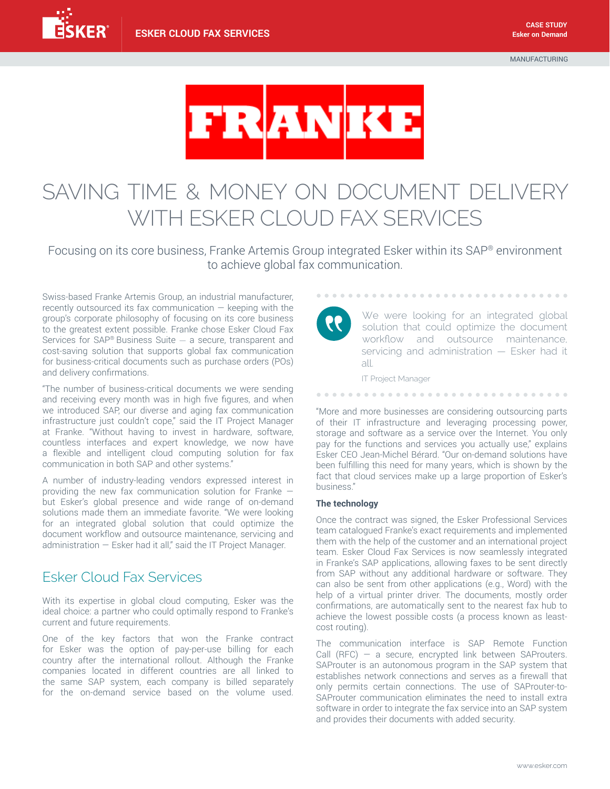

# SAVING TIME & MONEY ON DOCUMENT DELIVERY WITH ESKER CLOUD FAX SERVICES

Focusing on its core business, Franke Artemis Group integrated Esker within its SAP® environment to achieve global fax communication.

Swiss-based Franke Artemis Group, an industrial manufacturer, recently outsourced its fax communication  $-$  keeping with the group's corporate philosophy of focusing on its core business to the greatest extent possible. Franke chose Esker Cloud Fax Services for SAP® Business Suite — a secure, transparent and cost-saving solution that supports global fax communication for business-critical documents such as purchase orders (POs) and delivery confirmations.

"The number of business-critical documents we were sending and receiving every month was in high five figures, and when we introduced SAP, our diverse and aging fax communication infrastructure just couldn't cope," said the IT Project Manager at Franke. "Without having to invest in hardware, software, countless interfaces and expert knowledge, we now have a flexible and intelligent cloud computing solution for fax communication in both SAP and other systems."

A number of industry-leading vendors expressed interest in providing the new fax communication solution for Franke but Esker's global presence and wide range of on-demand solutions made them an immediate favorite. "We were looking for an integrated global solution that could optimize the document workflow and outsource maintenance, servicing and administration — Esker had it all," said the IT Project Manager.

## Esker Cloud Fax Services

With its expertise in global cloud computing, Esker was the ideal choice: a partner who could optimally respond to Franke's current and future requirements.

One of the key factors that won the Franke contract for Esker was the option of pay-per-use billing for each country after the international rollout. Although the Franke companies located in different countries are all linked to the same SAP system, each company is billed separately for the on-demand service based on the volume used.

We were looking for an integrated global solution that could optimize the document workflow and outsource maintenance, servicing and administration - Esker had it all.

.........................

IT Project Manager

"More and more businesses are considering outsourcing parts of their IT infrastructure and leveraging processing power, storage and software as a service over the Internet. You only pay for the functions and services you actually use," explains Esker CEO Jean-Michel Bérard. "Our on-demand solutions have been fulfilling this need for many years, which is shown by the fact that cloud services make up a large proportion of Esker's business."

...............................

### **The technology**

Once the contract was signed, the Esker Professional Services team catalogued Franke's exact requirements and implemented them with the help of the customer and an international project team. Esker Cloud Fax Services is now seamlessly integrated in Franke's SAP applications, allowing faxes to be sent directly from SAP without any additional hardware or software. They can also be sent from other applications (e.g., Word) with the help of a virtual printer driver. The documents, mostly order confirmations, are automatically sent to the nearest fax hub to achieve the lowest possible costs (a process known as leastcost routing).

The communication interface is SAP Remote Function Call (RFC)  $-$  a secure, encrypted link between SAProuters. SAProuter is an autonomous program in the SAP system that establishes network connections and serves as a firewall that only permits certain connections. The use of SAProuter-to-SAProuter communication eliminates the need to install extra software in order to integrate the fax service into an SAP system and provides their documents with added security.